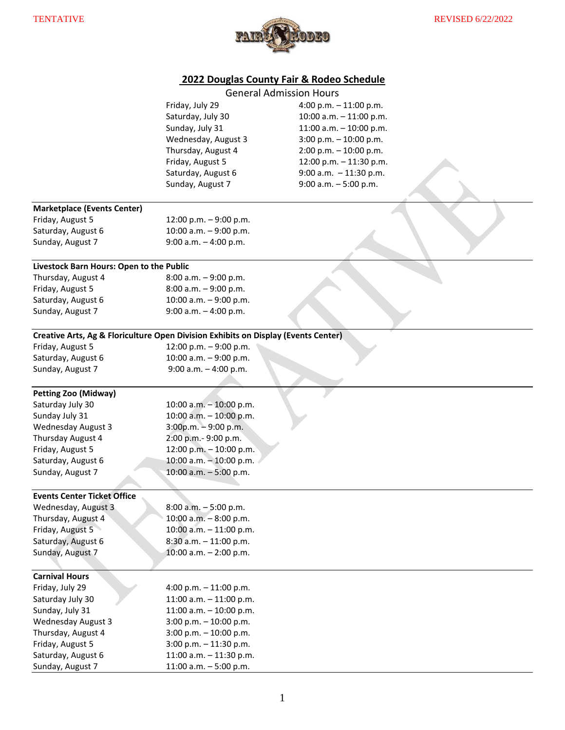

## **2022 Douglas County Fair & Rodeo Schedule**

|                                                                                    |                            | <b>General Admission Hours</b> |
|------------------------------------------------------------------------------------|----------------------------|--------------------------------|
|                                                                                    | Friday, July 29            | 4:00 p.m. - 11:00 p.m.         |
|                                                                                    | Saturday, July 30          | 10:00 a.m. $-$ 11:00 p.m.      |
|                                                                                    | Sunday, July 31            | 11:00 a.m. $-$ 10:00 p.m.      |
|                                                                                    | Wednesday, August 3        | $3:00$ p.m. $-10:00$ p.m.      |
|                                                                                    | Thursday, August 4         | $2:00$ p.m. $-10:00$ p.m.      |
|                                                                                    | Friday, August 5           | 12:00 p.m. - 11:30 p.m.        |
|                                                                                    | Saturday, August 6         | 9:00 a.m. $-11:30$ p.m.        |
|                                                                                    | Sunday, August 7           | $9:00$ a.m. $-5:00$ p.m.       |
|                                                                                    |                            |                                |
| <b>Marketplace (Events Center)</b>                                                 |                            |                                |
| Friday, August 5                                                                   | 12:00 p.m. $-9:00$ p.m.    |                                |
| Saturday, August 6                                                                 | 10:00 a.m. $-9:00$ p.m.    |                                |
| Sunday, August 7                                                                   | 9:00 a.m. $-$ 4:00 p.m.    |                                |
|                                                                                    |                            |                                |
| Livestock Barn Hours: Open to the Public                                           |                            |                                |
| Thursday, August 4                                                                 | $8:00$ a.m. $-9:00$ p.m.   |                                |
| Friday, August 5                                                                   | $8:00$ a.m. $-9:00$ p.m.   |                                |
| Saturday, August 6                                                                 | 10:00 a.m. $-9:00$ p.m.    |                                |
| Sunday, August 7                                                                   | 9:00 a.m. $-$ 4:00 p.m.    |                                |
|                                                                                    |                            |                                |
| Creative Arts, Ag & Floriculture Open Division Exhibits on Display (Events Center) |                            |                                |
| Friday, August 5                                                                   | 12:00 p.m. - 9:00 p.m.     |                                |
| Saturday, August 6                                                                 | 10:00 a.m. $-9:00$ p.m.    |                                |
| Sunday, August 7                                                                   | 9:00 a.m. $-$ 4:00 p.m.    |                                |
|                                                                                    |                            |                                |
| <b>Petting Zoo (Midway)</b>                                                        |                            |                                |
| Saturday July 30                                                                   | 10:00 a.m. $-10:00$ p.m.   |                                |
| Sunday July 31                                                                     | 10:00 a.m. $-$ 10:00 p.m.  |                                |
| <b>Wednesday August 3</b>                                                          | $3:00p.m. - 9:00 p.m.$     |                                |
| Thursday August 4                                                                  | 2:00 p.m.- 9:00 p.m.       |                                |
| Friday, August 5                                                                   | 12:00 p.m. - 10:00 p.m.    |                                |
| Saturday, August 6                                                                 | 10:00 a.m. - 10:00 p.m.    |                                |
| Sunday, August 7                                                                   | 10:00 a.m. $-5:00$ p.m.    |                                |
|                                                                                    |                            |                                |
| <b>Events Center Ticket Office</b>                                                 |                            |                                |
| Wednesday, August 3                                                                | $8:00$ a.m. $-5:00$ p.m.   |                                |
| Thursday, August 4                                                                 | $10:00$ a.m. $-8:00$ p.m.  |                                |
| Friday, August 5                                                                   | $10:00$ a.m. $-11:00$ p.m. |                                |
| Saturday, August 6                                                                 | $8:30$ a.m. $-11:00$ p.m.  |                                |
| Sunday, August 7                                                                   | 10:00 a.m. $-$ 2:00 p.m.   |                                |
|                                                                                    |                            |                                |
| <b>Carnival Hours</b>                                                              |                            |                                |
| Friday, July 29                                                                    | 4:00 p.m. $-11:00$ p.m.    |                                |
| Saturday July 30                                                                   | 11:00 a.m. $-$ 11:00 p.m.  |                                |
| Sunday, July 31                                                                    | 11:00 a.m. $-$ 10:00 p.m.  |                                |
| <b>Wednesday August 3</b>                                                          | 3:00 p.m. $-10:00$ p.m.    |                                |
| Thursday, August 4                                                                 | 3:00 p.m. $-10:00$ p.m.    |                                |
| Friday, August 5                                                                   | $3:00$ p.m. $-11:30$ p.m.  |                                |
| Saturday, August 6                                                                 | 11:00 a.m. - 11:30 p.m.    |                                |
| Sunday, August 7                                                                   | 11:00 a.m. $-5:00$ p.m.    |                                |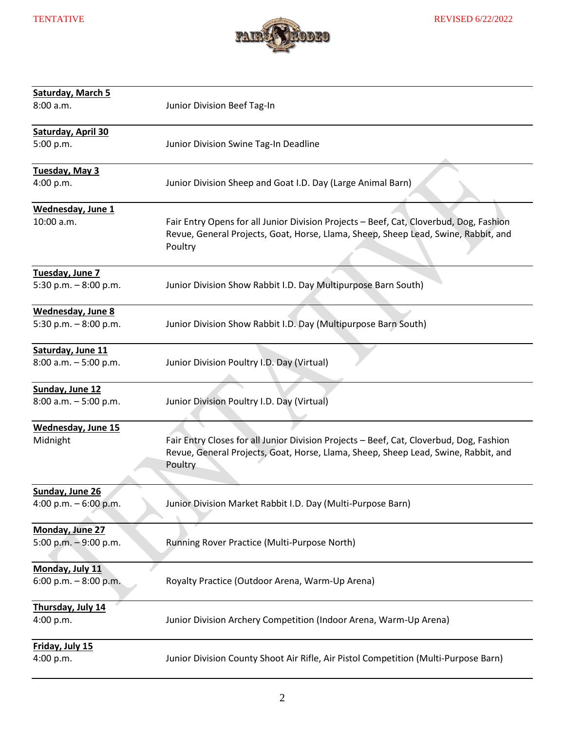

| Saturday, March 5<br>8:00 a.m.                     | Junior Division Beef Tag-In                                                                                                                                                              |
|----------------------------------------------------|------------------------------------------------------------------------------------------------------------------------------------------------------------------------------------------|
| Saturday, April 30<br>5:00 p.m.                    | Junior Division Swine Tag-In Deadline                                                                                                                                                    |
| Tuesday, May 3<br>4:00 p.m.                        | Junior Division Sheep and Goat I.D. Day (Large Animal Barn)                                                                                                                              |
| <b>Wednesday, June 1</b><br>10:00 a.m.             | Fair Entry Opens for all Junior Division Projects - Beef, Cat, Cloverbud, Dog, Fashion<br>Revue, General Projects, Goat, Horse, Llama, Sheep, Sheep Lead, Swine, Rabbit, and<br>Poultry  |
| Tuesday, June 7<br>5:30 p.m. $-8:00$ p.m.          | Junior Division Show Rabbit I.D. Day Multipurpose Barn South)                                                                                                                            |
| <b>Wednesday, June 8</b><br>5:30 p.m. $-8:00$ p.m. | Junior Division Show Rabbit I.D. Day (Multipurpose Barn South)                                                                                                                           |
| Saturday, June 11<br>$8:00$ a.m. $-5:00$ p.m.      | Junior Division Poultry I.D. Day (Virtual)                                                                                                                                               |
| Sunday, June 12<br>$8:00$ a.m. $-5:00$ p.m.        | Junior Division Poultry I.D. Day (Virtual)                                                                                                                                               |
| <b>Wednesday, June 15</b><br>Midnight              | Fair Entry Closes for all Junior Division Projects - Beef, Cat, Cloverbud, Dog, Fashion<br>Revue, General Projects, Goat, Horse, Llama, Sheep, Sheep Lead, Swine, Rabbit, and<br>Poultry |
| Sunday, June 26<br>4:00 p.m. $-6:00$ p.m.          | Junior Division Market Rabbit I.D. Day (Multi-Purpose Barn)                                                                                                                              |
| Monday, June 27<br>5:00 p.m. $-9:00$ p.m.          | Running Rover Practice (Multi-Purpose North)                                                                                                                                             |
| Monday, July 11<br>6:00 p.m. $-8:00$ p.m.          | Royalty Practice (Outdoor Arena, Warm-Up Arena)                                                                                                                                          |
| Thursday, July 14<br>4:00 p.m.                     | Junior Division Archery Competition (Indoor Arena, Warm-Up Arena)                                                                                                                        |
| <b>Friday, July 15</b><br>4:00 p.m.                | Junior Division County Shoot Air Rifle, Air Pistol Competition (Multi-Purpose Barn)                                                                                                      |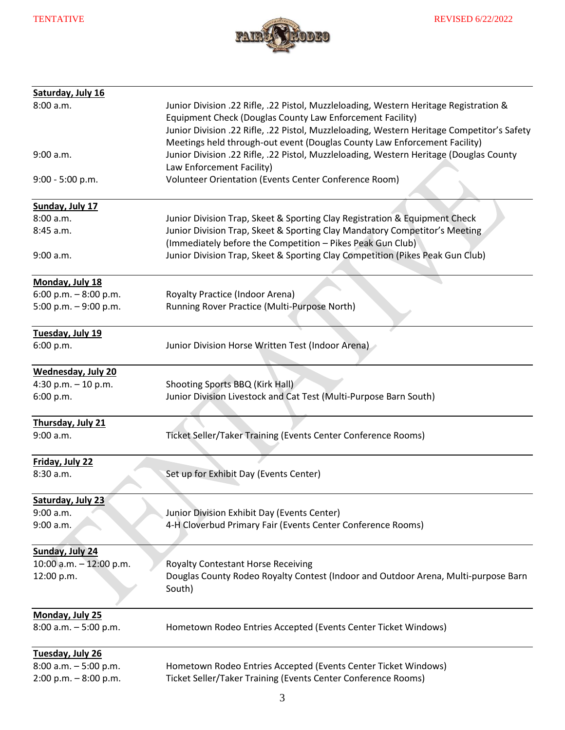

| Saturday, July 16          |                                                                                                                                                                                                                                                                                                                               |
|----------------------------|-------------------------------------------------------------------------------------------------------------------------------------------------------------------------------------------------------------------------------------------------------------------------------------------------------------------------------|
| 8:00 a.m.                  | Junior Division .22 Rifle, .22 Pistol, Muzzleloading, Western Heritage Registration &<br>Equipment Check (Douglas County Law Enforcement Facility)<br>Junior Division .22 Rifle, .22 Pistol, Muzzleloading, Western Heritage Competitor's Safety<br>Meetings held through-out event (Douglas County Law Enforcement Facility) |
| 9:00 a.m.                  | Junior Division .22 Rifle, .22 Pistol, Muzzleloading, Western Heritage (Douglas County<br>Law Enforcement Facility)                                                                                                                                                                                                           |
| $9:00 - 5:00 p.m.$         | Volunteer Orientation (Events Center Conference Room)                                                                                                                                                                                                                                                                         |
| Sunday, July 17            |                                                                                                                                                                                                                                                                                                                               |
| 8:00 a.m.                  | Junior Division Trap, Skeet & Sporting Clay Registration & Equipment Check                                                                                                                                                                                                                                                    |
| 8:45 a.m.                  | Junior Division Trap, Skeet & Sporting Clay Mandatory Competitor's Meeting<br>(Immediately before the Competition - Pikes Peak Gun Club)                                                                                                                                                                                      |
| 9:00 a.m.                  | Junior Division Trap, Skeet & Sporting Clay Competition (Pikes Peak Gun Club)                                                                                                                                                                                                                                                 |
| Monday, July 18            |                                                                                                                                                                                                                                                                                                                               |
| 6:00 p.m. $-8:00$ p.m.     | Royalty Practice (Indoor Arena)                                                                                                                                                                                                                                                                                               |
| 5:00 p.m. $-9:00$ p.m.     | Running Rover Practice (Multi-Purpose North)                                                                                                                                                                                                                                                                                  |
| Tuesday, July 19           |                                                                                                                                                                                                                                                                                                                               |
| 6:00 p.m.                  | Junior Division Horse Written Test (Indoor Arena)                                                                                                                                                                                                                                                                             |
| <b>Wednesday, July 20</b>  |                                                                                                                                                                                                                                                                                                                               |
| 4:30 p.m. $-10$ p.m.       | Shooting Sports BBQ (Kirk Hall)                                                                                                                                                                                                                                                                                               |
| 6:00 p.m.                  | Junior Division Livestock and Cat Test (Multi-Purpose Barn South)                                                                                                                                                                                                                                                             |
| Thursday, July 21          |                                                                                                                                                                                                                                                                                                                               |
| 9:00 a.m.                  | Ticket Seller/Taker Training (Events Center Conference Rooms)                                                                                                                                                                                                                                                                 |
| Friday, July 22            |                                                                                                                                                                                                                                                                                                                               |
| 8:30 a.m.                  | Set up for Exhibit Day (Events Center)                                                                                                                                                                                                                                                                                        |
| Saturday, July 23          |                                                                                                                                                                                                                                                                                                                               |
| 9:00 a.m.                  | Junior Division Exhibit Day (Events Center)                                                                                                                                                                                                                                                                                   |
| 9:00 a.m.                  | 4-H Cloverbud Primary Fair (Events Center Conference Rooms)                                                                                                                                                                                                                                                                   |
| Sunday, July 24            |                                                                                                                                                                                                                                                                                                                               |
| $10:00$ a.m. $-12:00$ p.m. | <b>Royalty Contestant Horse Receiving</b>                                                                                                                                                                                                                                                                                     |
| 12:00 p.m.                 | Douglas County Rodeo Royalty Contest (Indoor and Outdoor Arena, Multi-purpose Barn<br>South)                                                                                                                                                                                                                                  |
| Monday, July 25            |                                                                                                                                                                                                                                                                                                                               |
| $8:00$ a.m. $-5:00$ p.m.   | Hometown Rodeo Entries Accepted (Events Center Ticket Windows)                                                                                                                                                                                                                                                                |
| Tuesday, July 26           |                                                                                                                                                                                                                                                                                                                               |
| $8:00$ a.m. $-5:00$ p.m.   | Hometown Rodeo Entries Accepted (Events Center Ticket Windows)                                                                                                                                                                                                                                                                |
| $2:00$ p.m. $-8:00$ p.m.   | Ticket Seller/Taker Training (Events Center Conference Rooms)                                                                                                                                                                                                                                                                 |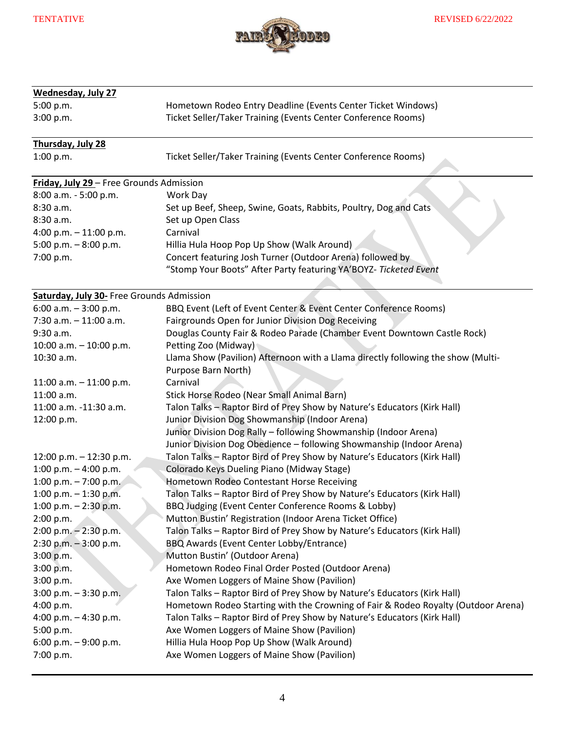

| <b>Wednesday, July 27</b>                            |                                                                                                                        |
|------------------------------------------------------|------------------------------------------------------------------------------------------------------------------------|
| 5:00 p.m.                                            | Hometown Rodeo Entry Deadline (Events Center Ticket Windows)                                                           |
| 3:00 p.m.                                            | Ticket Seller/Taker Training (Events Center Conference Rooms)                                                          |
| Thursday, July 28                                    |                                                                                                                        |
| 1:00 p.m.                                            | Ticket Seller/Taker Training (Events Center Conference Rooms)                                                          |
| Friday, July 29 - Free Grounds Admission             |                                                                                                                        |
| 8:00 a.m. - 5:00 p.m.                                | Work Day                                                                                                               |
| 8:30 a.m.                                            | Set up Beef, Sheep, Swine, Goats, Rabbits, Poultry, Dog and Cats                                                       |
| 8:30 a.m.                                            | Set up Open Class                                                                                                      |
| 4:00 p.m. $-11:00$ p.m.                              | Carnival                                                                                                               |
| 5:00 p.m. $-8:00$ p.m.                               | Hillia Hula Hoop Pop Up Show (Walk Around)                                                                             |
| 7:00 p.m.                                            | Concert featuring Josh Turner (Outdoor Arena) followed by                                                              |
|                                                      | "Stomp Your Boots" After Party featuring YA'BOYZ- Ticketed Event                                                       |
|                                                      |                                                                                                                        |
| Saturday, July 30- Free Grounds Admission            |                                                                                                                        |
| 6:00 a.m. $-3:00$ p.m.                               | BBQ Event (Left of Event Center & Event Center Conference Rooms)                                                       |
| $7:30$ a.m. $-11:00$ a.m.                            | Fairgrounds Open for Junior Division Dog Receiving                                                                     |
| 9:30 a.m.                                            | Douglas County Fair & Rodeo Parade (Chamber Event Downtown Castle Rock)                                                |
| 10:00 a.m. $-$ 10:00 p.m.                            | Petting Zoo (Midway)                                                                                                   |
| 10:30 a.m.                                           | Llama Show (Pavilion) Afternoon with a Llama directly following the show (Multi-                                       |
|                                                      | Purpose Barn North)                                                                                                    |
| 11:00 a.m. $-$ 11:00 p.m.                            | Carnival                                                                                                               |
| 11:00 a.m.                                           | Stick Horse Rodeo (Near Small Animal Barn)                                                                             |
| 11:00 a.m. -11:30 a.m.                               | Talon Talks - Raptor Bird of Prey Show by Nature's Educators (Kirk Hall)                                               |
| 12:00 p.m.                                           | Junior Division Dog Showmanship (Indoor Arena)                                                                         |
|                                                      | Junior Division Dog Rally - following Showmanship (Indoor Arena)                                                       |
|                                                      | Junior Division Dog Obedience - following Showmanship (Indoor Arena)                                                   |
| 12:00 p.m. $-$ 12:30 p.m.<br>1:00 p.m. $-$ 4:00 p.m. | Talon Talks - Raptor Bird of Prey Show by Nature's Educators (Kirk Hall)<br>Colorado Keys Dueling Piano (Midway Stage) |
| 1:00 p.m. $-7:00$ p.m.                               | Hometown Rodeo Contestant Horse Receiving                                                                              |
| $1:00$ p.m. $-1:30$ p.m.                             | Talon Talks - Raptor Bird of Prey Show by Nature's Educators (Kirk Hall)                                               |
| 1:00 p.m. $-$ 2:30 p.m.                              | BBQ Judging (Event Center Conference Rooms & Lobby)                                                                    |
| 2:00 p.m.                                            | Mutton Bustin' Registration (Indoor Arena Ticket Office)                                                               |
| $2:00$ p.m. $-2:30$ p.m.                             | Talon Talks - Raptor Bird of Prey Show by Nature's Educators (Kirk Hall)                                               |
| $2:30$ p.m. $-3:00$ p.m.                             | BBQ Awards (Event Center Lobby/Entrance)                                                                               |
| 3:00 p.m.                                            | Mutton Bustin' (Outdoor Arena)                                                                                         |
| 3:00 p.m.                                            | Hometown Rodeo Final Order Posted (Outdoor Arena)                                                                      |
| 3:00 p.m.                                            | Axe Women Loggers of Maine Show (Pavilion)                                                                             |
| $3:00$ p.m. $-3:30$ p.m.                             | Talon Talks - Raptor Bird of Prey Show by Nature's Educators (Kirk Hall)                                               |
| 4:00 p.m.                                            | Hometown Rodeo Starting with the Crowning of Fair & Rodeo Royalty (Outdoor Arena)                                      |
| 4:00 p.m. $-$ 4:30 p.m.                              | Talon Talks - Raptor Bird of Prey Show by Nature's Educators (Kirk Hall)                                               |
| 5:00 p.m.                                            | Axe Women Loggers of Maine Show (Pavilion)                                                                             |
| 6:00 p.m. $-9:00$ p.m.                               | Hillia Hula Hoop Pop Up Show (Walk Around)                                                                             |
| 7:00 p.m.                                            | Axe Women Loggers of Maine Show (Pavilion)                                                                             |
|                                                      |                                                                                                                        |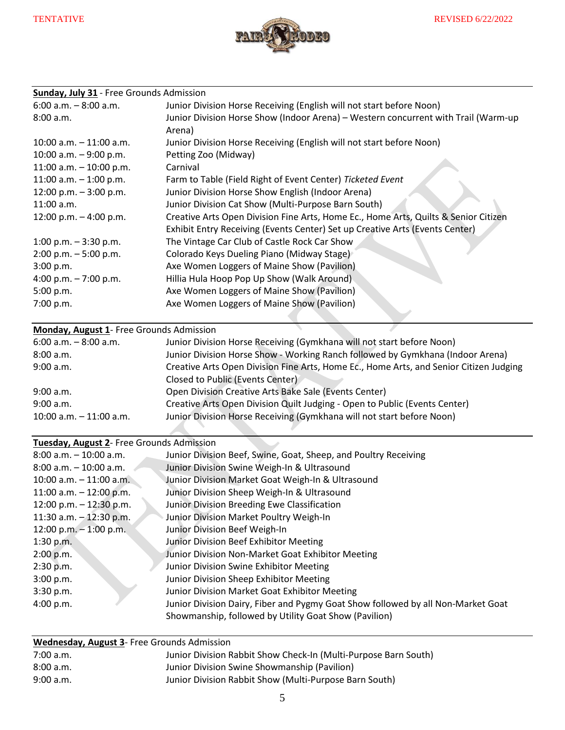

# **Sunday, July 31** - Free Grounds Admission

| $6:00$ a.m. $-8:00$ a.m.   | Junior Division Horse Receiving (English will not start before Noon)                         |
|----------------------------|----------------------------------------------------------------------------------------------|
| 8:00 a.m.                  | Junior Division Horse Show (Indoor Arena) - Western concurrent with Trail (Warm-up<br>Arena) |
| $10:00$ a.m. $-11:00$ a.m. | Junior Division Horse Receiving (English will not start before Noon)                         |
| 10:00 a.m. $-9:00$ p.m.    | Petting Zoo (Midway)                                                                         |
| 11:00 a.m. $-$ 10:00 p.m.  | Carnival                                                                                     |
| 11:00 a.m. $-$ 1:00 p.m.   | Farm to Table (Field Right of Event Center) Ticketed Event                                   |
| 12:00 p.m. $-3:00$ p.m.    | Junior Division Horse Show English (Indoor Arena)                                            |
| $11:00$ a.m.               | Junior Division Cat Show (Multi-Purpose Barn South)                                          |
| 12:00 p.m. $-4:00$ p.m.    | Creative Arts Open Division Fine Arts, Home Ec., Home Arts, Quilts & Senior Citizen          |
|                            | Exhibit Entry Receiving (Events Center) Set up Creative Arts (Events Center)                 |
| 1:00 p.m. $-3:30$ p.m.     | The Vintage Car Club of Castle Rock Car Show                                                 |
| $2:00$ p.m. $-5:00$ p.m.   | Colorado Keys Dueling Piano (Midway Stage)                                                   |
| 3:00 p.m.                  | Axe Women Loggers of Maine Show (Pavilion)                                                   |
| 4:00 p.m. $-7:00$ p.m.     | Hillia Hula Hoop Pop Up Show (Walk Around)                                                   |
| 5:00 p.m.                  | Axe Women Loggers of Maine Show (Pavilion)                                                   |
| 7:00 p.m.                  | Axe Women Loggers of Maine Show (Pavilion)                                                   |
|                            |                                                                                              |

### **Monday, August 1**- Free Grounds Admission

| $6:00$ a.m. $-8:00$ a.m.   | Junior Division Horse Receiving (Gymkhana will not start before Noon)                  |
|----------------------------|----------------------------------------------------------------------------------------|
| 8:00 a.m.                  | Junior Division Horse Show - Working Ranch followed by Gymkhana (Indoor Arena)         |
| 9:00 a.m.                  | Creative Arts Open Division Fine Arts, Home Ec., Home Arts, and Senior Citizen Judging |
|                            | Closed to Public (Events Center)                                                       |
| 9:00 a.m.                  | Open Division Creative Arts Bake Sale (Events Center)                                  |
| 9:00 a.m.                  | Creative Arts Open Division Quilt Judging - Open to Public (Events Center)             |
| $10:00$ a.m. $-11:00$ a.m. | Junior Division Horse Receiving (Gymkhana will not start before Noon)                  |
|                            |                                                                                        |

## **Tuesday, August 2**- Free Grounds Admission

| $8:00$ a.m. $-10:00$ a.m.  | Junior Division Beef, Swine, Goat, Sheep, and Poultry Receiving                  |
|----------------------------|----------------------------------------------------------------------------------|
| $8:00$ a.m. $-10:00$ a.m.  | Junior Division Swine Weigh-In & Ultrasound                                      |
| $10:00$ a.m. $-11:00$ a.m. | Junior Division Market Goat Weigh-In & Ultrasound                                |
| 11:00 a.m. $-$ 12:00 p.m.  | Junior Division Sheep Weigh-In & Ultrasound                                      |
| 12:00 p.m. $-$ 12:30 p.m.  | Junior Division Breeding Ewe Classification                                      |
| 11:30 a.m. $-$ 12:30 p.m.  | Junior Division Market Poultry Weigh-In                                          |
| 12:00 p.m. $-$ 1:00 p.m.   | Junior Division Beef Weigh-In                                                    |
| 1:30 p.m.                  | Junior Division Beef Exhibitor Meeting                                           |
| 2:00 p.m.                  | Junior Division Non-Market Goat Exhibitor Meeting                                |
| 2:30 p.m.                  | Junior Division Swine Exhibitor Meeting                                          |
| 3:00 p.m.                  | Junior Division Sheep Exhibitor Meeting                                          |
| 3:30 p.m.                  | Junior Division Market Goat Exhibitor Meeting                                    |
| 4:00 p.m.                  | Junior Division Dairy, Fiber and Pygmy Goat Show followed by all Non-Market Goat |
|                            | Showmanship, followed by Utility Goat Show (Pavilion)                            |
|                            |                                                                                  |

**Wednesday, August 3**- Free Grounds Admission

| $7:00$ a.m. | Junior Division Rabbit Show Check-In (Multi-Purpose Barn South) |
|-------------|-----------------------------------------------------------------|
| 8:00 a.m.   | Junior Division Swine Showmanship (Pavilion)                    |
| 9:00 a.m.   | Junior Division Rabbit Show (Multi-Purpose Barn South)          |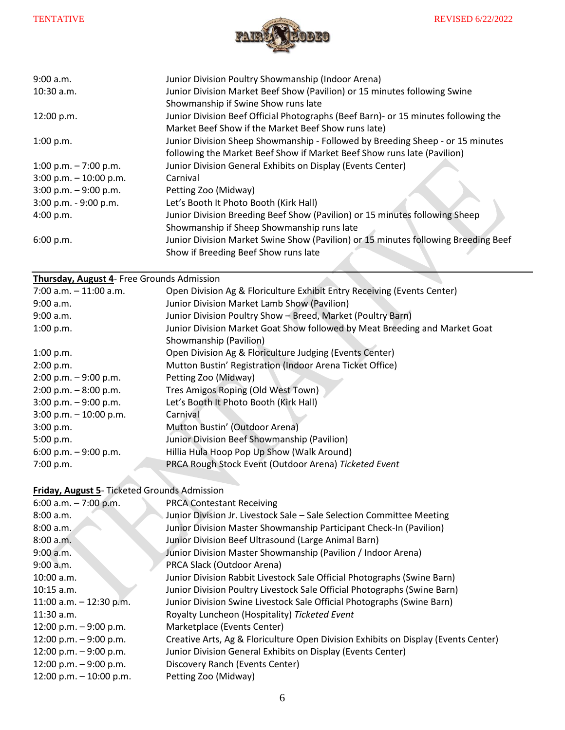

| 9:00 a.m.                 | Junior Division Poultry Showmanship (Indoor Arena)                                  |
|---------------------------|-------------------------------------------------------------------------------------|
| $10:30$ a.m.              | Junior Division Market Beef Show (Pavilion) or 15 minutes following Swine           |
|                           | Showmanship if Swine Show runs late                                                 |
| 12:00 p.m.                | Junior Division Beef Official Photographs (Beef Barn) - or 15 minutes following the |
|                           | Market Beef Show if the Market Beef Show runs late)                                 |
| 1:00 p.m.                 | Junior Division Sheep Showmanship - Followed by Breeding Sheep - or 15 minutes      |
|                           | following the Market Beef Show if Market Beef Show runs late (Pavilion)             |
| 1:00 p.m. $-7:00$ p.m.    | Junior Division General Exhibits on Display (Events Center)                         |
| $3:00$ p.m. $-10:00$ p.m. | Carnival                                                                            |
| $3:00$ p.m. $-9:00$ p.m.  | Petting Zoo (Midway)                                                                |
| 3:00 p.m. - 9:00 p.m.     | Let's Booth It Photo Booth (Kirk Hall)                                              |
| 4:00 p.m.                 | Junior Division Breeding Beef Show (Pavilion) or 15 minutes following Sheep         |
|                           | Showmanship if Sheep Showmanship runs late                                          |
| 6:00 p.m.                 | Junior Division Market Swine Show (Pavilion) or 15 minutes following Breeding Beef  |
|                           | Show if Breeding Beef Show runs late                                                |
|                           |                                                                                     |
|                           | .                                                                                   |

#### **Thursday, August 4**- Free Grounds Admission

| $7:00$ a.m. $-11:00$ a.m. | Open Division Ag & Floriculture Exhibit Entry Receiving (Events Center)    |
|---------------------------|----------------------------------------------------------------------------|
| 9:00 a.m.                 | Junior Division Market Lamb Show (Pavilion)                                |
| 9:00 a.m.                 | Junior Division Poultry Show - Breed, Market (Poultry Barn)                |
| 1:00 p.m.                 | Junior Division Market Goat Show followed by Meat Breeding and Market Goat |
|                           | Showmanship (Pavilion)                                                     |
| 1:00 p.m.                 | Open Division Ag & Floriculture Judging (Events Center)                    |
| 2:00 p.m.                 | Mutton Bustin' Registration (Indoor Arena Ticket Office)                   |
| $2:00$ p.m. $-9:00$ p.m.  | Petting Zoo (Midway)                                                       |
| $2:00$ p.m. $-8:00$ p.m.  | Tres Amigos Roping (Old West Town)                                         |
| $3:00$ p.m. $-9:00$ p.m.  | Let's Booth It Photo Booth (Kirk Hall)                                     |
| $3:00$ p.m. $-10:00$ p.m. | Carnival                                                                   |
| 3:00 p.m.                 | Mutton Bustin' (Outdoor Arena)                                             |
| 5:00 p.m.                 | Junior Division Beef Showmanship (Pavilion)                                |
| 6:00 p.m. $-9:00$ p.m.    | Hillia Hula Hoop Pop Up Show (Walk Around)                                 |
| 7:00 p.m.                 | PRCA Rough Stock Event (Outdoor Arena) Ticketed Event                      |

z.

#### **Friday, August 5**- Ticketed Grounds Admission

×

| <b>PRCA Contestant Receiving</b>                                                   |
|------------------------------------------------------------------------------------|
| Junior Division Jr. Livestock Sale - Sale Selection Committee Meeting              |
| Junior Division Master Showmanship Participant Check-In (Pavilion)                 |
| Junior Division Beef Ultrasound (Large Animal Barn)                                |
| Junior Division Master Showmanship (Pavilion / Indoor Arena)                       |
| PRCA Slack (Outdoor Arena)                                                         |
| Junior Division Rabbit Livestock Sale Official Photographs (Swine Barn)            |
| Junior Division Poultry Livestock Sale Official Photographs (Swine Barn)           |
| Junior Division Swine Livestock Sale Official Photographs (Swine Barn)             |
| Royalty Luncheon (Hospitality) Ticketed Event                                      |
| Marketplace (Events Center)                                                        |
| Creative Arts, Ag & Floriculture Open Division Exhibits on Display (Events Center) |
| Junior Division General Exhibits on Display (Events Center)                        |
| Discovery Ranch (Events Center)                                                    |
| Petting Zoo (Midway)                                                               |
|                                                                                    |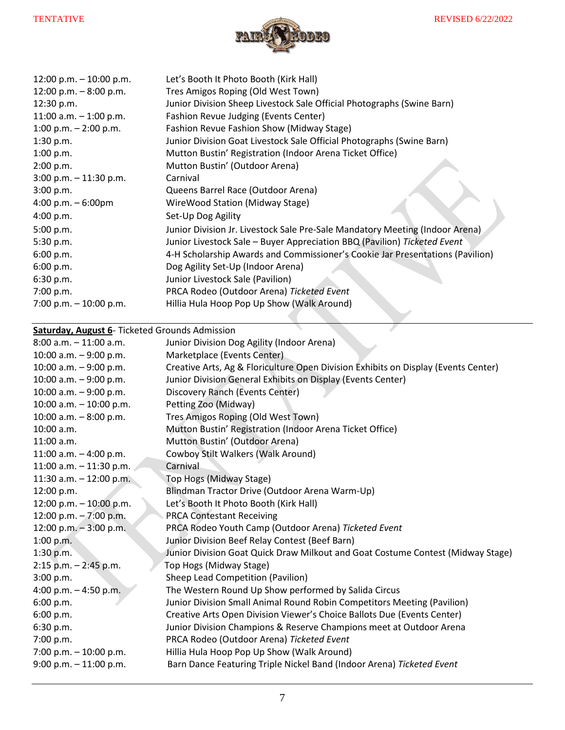

| Let's Booth It Photo Booth (Kirk Hall)<br>Tres Amigos Roping (Old West Town)<br>Junior Division Sheep Livestock Sale Official Photographs (Swine Barn)<br>Fashion Revue Judging (Events Center) |
|-------------------------------------------------------------------------------------------------------------------------------------------------------------------------------------------------|
| Fashion Revue Fashion Show (Midway Stage)<br>Junior Division Goat Livestock Sale Official Photographs (Swine Barn)                                                                              |
| Mutton Bustin' Registration (Indoor Arena Ticket Office)                                                                                                                                        |
| Mutton Bustin' (Outdoor Arena)                                                                                                                                                                  |
| Carnival                                                                                                                                                                                        |
| Queens Barrel Race (Outdoor Arena)                                                                                                                                                              |
| WireWood Station (Midway Stage)                                                                                                                                                                 |
| Set-Up Dog Agility                                                                                                                                                                              |
| Junior Division Jr. Livestock Sale Pre-Sale Mandatory Meeting (Indoor Arena)                                                                                                                    |
| Junior Livestock Sale - Buyer Appreciation BBQ (Pavilion) Ticketed Event                                                                                                                        |
| 4-H Scholarship Awards and Commissioner's Cookie Jar Presentations (Pavilion)                                                                                                                   |
| Dog Agility Set-Up (Indoor Arena)                                                                                                                                                               |
| Junior Livestock Sale (Pavilion)                                                                                                                                                                |
| PRCA Rodeo (Outdoor Arena) Ticketed Event                                                                                                                                                       |
| Hillia Hula Hoop Pop Up Show (Walk Around)                                                                                                                                                      |
|                                                                                                                                                                                                 |

**Saturday, August 6**- Ticketed Grounds Admission

| $8:00$ a.m. $-11:00$ a.m. | Junior Division Dog Agility (Indoor Arena)                                         |
|---------------------------|------------------------------------------------------------------------------------|
| 10:00 a.m. - 9:00 p.m.    | Marketplace (Events Center)                                                        |
| 10:00 a.m. $-9:00$ p.m.   | Creative Arts, Ag & Floriculture Open Division Exhibits on Display (Events Center) |
| 10:00 a.m. $-9:00$ p.m.   | Junior Division General Exhibits on Display (Events Center)                        |
| 10:00 a.m. $-9:00$ p.m.   | Discovery Ranch (Events Center)                                                    |
| 10:00 a.m. $-$ 10:00 p.m. | Petting Zoo (Midway)                                                               |
| 10:00 a.m. $-8:00$ p.m.   | Tres Amigos Roping (Old West Town)                                                 |
| 10:00 a.m.                | Mutton Bustin' Registration (Indoor Arena Ticket Office)                           |
| 11:00 a.m.                | Mutton Bustin' (Outdoor Arena)                                                     |
| 11:00 a.m. $-$ 4:00 p.m.  | Cowboy Stilt Walkers (Walk Around)                                                 |
| 11:00 a.m. $-$ 11:30 p.m. | Carnival                                                                           |
| 11:30 a.m. $-$ 12:00 p.m. | Top Hogs (Midway Stage)                                                            |
| 12:00 p.m.                | Blindman Tractor Drive (Outdoor Arena Warm-Up)                                     |
| 12:00 p.m. $-$ 10:00 p.m. | Let's Booth It Photo Booth (Kirk Hall)                                             |
| 12:00 p.m. $-7:00$ p.m.   | <b>PRCA Contestant Receiving</b>                                                   |
| 12:00 p.m. $-3:00$ p.m.   | PRCA Rodeo Youth Camp (Outdoor Arena) Ticketed Event                               |
| 1:00 p.m.                 | Junior Division Beef Relay Contest (Beef Barn)                                     |
| 1:30 p.m.                 | Junior Division Goat Quick Draw Milkout and Goat Costume Contest (Midway Stage)    |
| $2:15$ p.m. $-2:45$ p.m.  | Top Hogs (Midway Stage)                                                            |
| 3:00 p.m.                 | Sheep Lead Competition (Pavilion)                                                  |
| 4:00 p.m. $-$ 4:50 p.m.   | The Western Round Up Show performed by Salida Circus                               |
| 6:00 p.m.                 | Junior Division Small Animal Round Robin Competitors Meeting (Pavilion)            |
| 6:00 p.m.                 | Creative Arts Open Division Viewer's Choice Ballots Due (Events Center)            |
| 6:30 p.m.                 | Junior Division Champions & Reserve Champions meet at Outdoor Arena                |
| 7:00 p.m.                 | PRCA Rodeo (Outdoor Arena) Ticketed Event                                          |
| 7:00 p.m. $-$ 10:00 p.m.  | Hillia Hula Hoop Pop Up Show (Walk Around)                                         |
| $9:00$ p.m. $-11:00$ p.m. | Barn Dance Featuring Triple Nickel Band (Indoor Arena) Ticketed Event              |
|                           |                                                                                    |